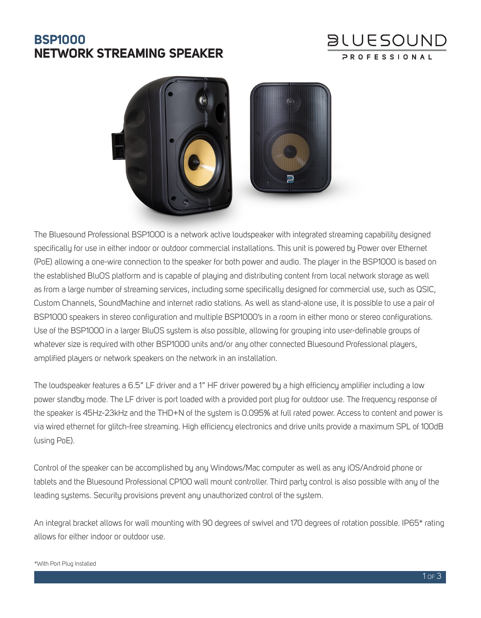## **BSP1000 NETWORK STREAMING SPEAKER**

# **BLUESOUND**



The Bluesound Professional BSP1000 is a network active loudspeaker with integrated streaming capability designed specifically for use in either indoor or outdoor commercial installations. This unit is powered by Power over Ethernet (PoE) allowing a one-wire connection to the speaker for both power and audio. The player in the BSP1000 is based on the established BluOS platform and is capable of playing and distributing content from local network storage as well as from a large number of streaming services, including some specifically designed for commercial use, such as QSIC, Custom Channels, SoundMachine and internet radio stations. As well as stand-alone use, it is possible to use a pair of BSP1000 speakers in stereo configuration and multiple BSP1000's in a room in either mono or stereo configurations. Use of the BSP1000 in a larger BluOS system is also possible, allowing for grouping into user-definable groups of whatever size is required with other BSP1000 units and/or any other connected Bluesound Professional players, amplified players or network speakers on the network in an installation.

The loudspeaker features a 6.5" LF driver and a 1" HF driver powered by a high efficiency amplifier including a low power standby mode. The LF driver is port loaded with a provided port plug for outdoor use. The frequency response of the speaker is 45Hz-23kHz and the THD+N of the system is 0.095% at full rated power. Access to content and power is via wired ethernet for glitch-free streaming. High efficiency electronics and drive units provide a maximum SPL of 100dB (using PoE).

Control of the speaker can be accomplished by any Windows/Mac computer as well as any iOS/Android phone or tablets and the Bluesound Professional CP100 wall mount controller. Third party control is also possible with any of the leading systems. Security provisions prevent any unauthorized control of the system.

An integral bracket allows for wall mounting with 90 degrees of swivel and 170 degrees of rotation possible. IP65\* rating allows for either indoor or outdoor use.

#### \*With Port Plug Installed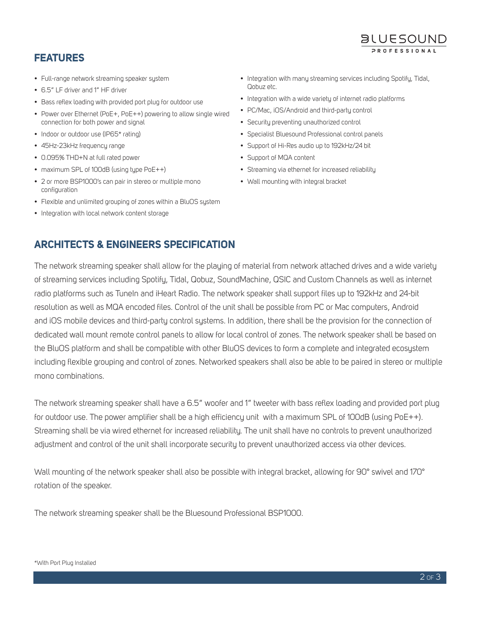#### **FEATURES**

- Full-range network streaming speaker system
- 6.5" LF driver and 1" HF driver
- Bass reflex loading with provided port plug for outdoor use
- Power over Ethernet (PoE+, PoE++) powering to allow single wired connection for both power and signal
- Indoor or outdoor use (IP65\* rating)
- 45Hz-23kHz frequency range
- 0.095% THD+N at full rated power
- maximum SPL of 100dB (using type PoE++)
- 2 or more BSP1000's can pair in stereo or multiple mono configuration
- Flexible and unlimited grouping of zones within a BluOS system
- Integration with local network content storage

• Integration with many streaming services including Spotify, Tidal, Qobuz etc.

**BLUESOUND** PROFESSIONA

- Integration with a wide variety of internet radio platforms
- PC/Mac, iOS/Android and third-party control
- Security preventing unauthorized control
- Specialist Bluesound Professional control panels
- Support of Hi-Res audio up to 192kHz/24 bit
- Support of MQA content
- Streaming via ethernet for increased reliability
- Wall mounting with integral bracket

#### **ARCHITECTS & ENGINEERS SPECIFICATION**

The network streaming speaker shall allow for the playing of material from network attached drives and a wide variety of streaming services including Spotify, Tidal, Qobuz, SoundMachine, QSIC and Custom Channels as well as internet radio platforms such as TuneIn and iHeart Radio. The network speaker shall support files up to 192kHz and 24-bit resolution as well as MQA encoded files. Control of the unit shall be possible from PC or Mac computers, Android and iOS mobile devices and third-party control systems. In addition, there shall be the provision for the connection of dedicated wall mount remote control panels to allow for local control of zones. The network speaker shall be based on the BluOS platform and shall be compatible with other BluOS devices to form a complete and integrated ecosystem including flexible grouping and control of zones. Networked speakers shall also be able to be paired in stereo or multiple mono combinations.

The network streaming speaker shall have a 6.5" woofer and 1" tweeter with bass reflex loading and provided port plug for outdoor use. The power amplifier shall be a high efficiency unit with a maximum SPL of 100dB (using PoE++). Streaming shall be via wired ethernet for increased reliability. The unit shall have no controls to prevent unauthorized adjustment and control of the unit shall incorporate security to prevent unauthorized access via other devices.

Wall mounting of the network speaker shall also be possible with integral bracket, allowing for 90° swivel and 170° rotation of the speaker.

The network streaming speaker shall be the Bluesound Professional BSP1000.